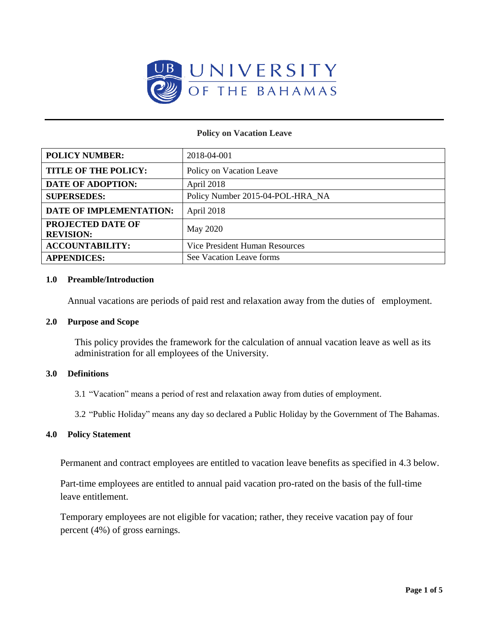

#### **Policy on Vacation Leave**

| <b>POLICY NUMBER:</b>                 | 2018-04-001                      |
|---------------------------------------|----------------------------------|
| <b>TITLE OF THE POLICY:</b>           | Policy on Vacation Leave         |
| <b>DATE OF ADOPTION:</b>              | April 2018                       |
| <b>SUPERSEDES:</b>                    | Policy Number 2015-04-POL-HRA_NA |
| DATE OF IMPLEMENTATION:               | April 2018                       |
| PROJECTED DATE OF<br><b>REVISION:</b> | May 2020                         |
| <b>ACCOUNTABILITY:</b>                | Vice President Human Resources   |
| <b>APPENDICES:</b>                    | See Vacation Leave forms         |

#### **1.0 Preamble/Introduction**

Annual vacations are periods of paid rest and relaxation away from the duties of employment.

#### **2.0 Purpose and Scope**

This policy provides the framework for the calculation of annual vacation leave as well as its administration for all employees of the University.

#### **3.0 Definitions**

3.1 "Vacation" means a period of rest and relaxation away from duties of employment.

3.2 "Public Holiday" means any day so declared a Public Holiday by the Government of The Bahamas.

#### **4.0 Policy Statement**

Permanent and contract employees are entitled to vacation leave benefits as specified in 4.3 below.

Part-time employees are entitled to annual paid vacation pro-rated on the basis of the full-time leave entitlement.

Temporary employees are not eligible for vacation; rather, they receive vacation pay of four percent (4%) of gross earnings.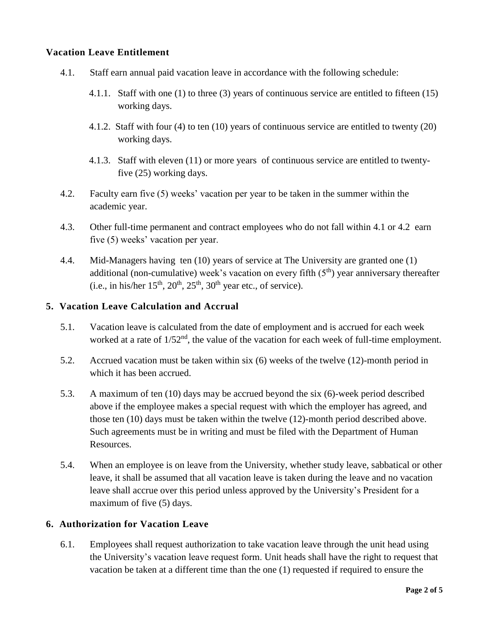## **Vacation Leave Entitlement**

- 4.1. Staff earn annual paid vacation leave in accordance with the following schedule:
	- 4.1.1. Staff with one (1) to three (3) years of continuous service are entitled to fifteen (15) working days.
	- 4.1.2. Staff with four (4) to ten (10) years of continuous service are entitled to twenty (20) working days.
	- 4.1.3. Staff with eleven (11) or more years of continuous service are entitled to twentyfive (25) working days.
- 4.2. Faculty earn five (5) weeks' vacation per year to be taken in the summer within the academic year.
- 4.3. Other full-time permanent and contract employees who do not fall within 4.1 or 4.2 earn five (5) weeks' vacation per year.
- 4.4. Mid-Managers having ten (10) years of service at The University are granted one (1) additional (non-cumulative) week's vacation on every fifth  $(5<sup>th</sup>)$  year anniversary thereafter (i.e., in his/her  $15<sup>th</sup>$ ,  $20<sup>th</sup>$ ,  $25<sup>th</sup>$ ,  $30<sup>th</sup>$  year etc., of service).

### **5. Vacation Leave Calculation and Accrual**

- 5.1. Vacation leave is calculated from the date of employment and is accrued for each week worked at a rate of  $1/52<sup>nd</sup>$ , the value of the vacation for each week of full-time employment.
- 5.2. Accrued vacation must be taken within six (6) weeks of the twelve (12)-month period in which it has been accrued.
- 5.3. A maximum of ten (10) days may be accrued beyond the six (6)-week period described above if the employee makes a special request with which the employer has agreed, and those ten (10) days must be taken within the twelve (12)-month period described above. Such agreements must be in writing and must be filed with the Department of Human Resources.
- 5.4. When an employee is on leave from the University, whether study leave, sabbatical or other leave, it shall be assumed that all vacation leave is taken during the leave and no vacation leave shall accrue over this period unless approved by the University's President for a maximum of five (5) days.

### **6. Authorization for Vacation Leave**

6.1. Employees shall request authorization to take vacation leave through the unit head using the University's vacation leave request form. Unit heads shall have the right to request that vacation be taken at a different time than the one (1) requested if required to ensure the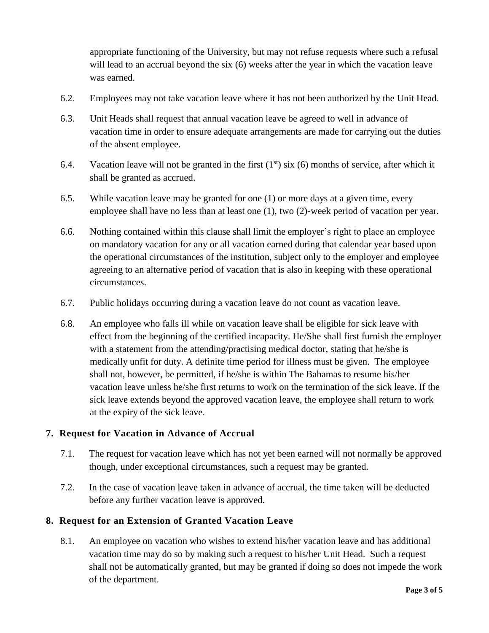appropriate functioning of the University, but may not refuse requests where such a refusal will lead to an accrual beyond the six (6) weeks after the year in which the vacation leave was earned.

- 6.2. Employees may not take vacation leave where it has not been authorized by the Unit Head.
- 6.3. Unit Heads shall request that annual vacation leave be agreed to well in advance of vacation time in order to ensure adequate arrangements are made for carrying out the duties of the absent employee.
- 6.4. Vacation leave will not be granted in the first  $(1<sup>st</sup>)$  six  $(6)$  months of service, after which it shall be granted as accrued.
- 6.5. While vacation leave may be granted for one (1) or more days at a given time, every employee shall have no less than at least one (1), two (2)-week period of vacation per year.
- 6.6. Nothing contained within this clause shall limit the employer's right to place an employee on mandatory vacation for any or all vacation earned during that calendar year based upon the operational circumstances of the institution, subject only to the employer and employee agreeing to an alternative period of vacation that is also in keeping with these operational circumstances.
- 6.7. Public holidays occurring during a vacation leave do not count as vacation leave.
- 6.8. An employee who falls ill while on vacation leave shall be eligible for sick leave with effect from the beginning of the certified incapacity. He/She shall first furnish the employer with a statement from the attending/practising medical doctor, stating that he/she is medically unfit for duty. A definite time period for illness must be given. The employee shall not, however, be permitted, if he/she is within The Bahamas to resume his/her vacation leave unless he/she first returns to work on the termination of the sick leave. If the sick leave extends beyond the approved vacation leave, the employee shall return to work at the expiry of the sick leave.

# **7. Request for Vacation in Advance of Accrual**

- 7.1. The request for vacation leave which has not yet been earned will not normally be approved though, under exceptional circumstances, such a request may be granted.
- 7.2. In the case of vacation leave taken in advance of accrual, the time taken will be deducted before any further vacation leave is approved.

# **8. Request for an Extension of Granted Vacation Leave**

8.1. An employee on vacation who wishes to extend his/her vacation leave and has additional vacation time may do so by making such a request to his/her Unit Head. Such a request shall not be automatically granted, but may be granted if doing so does not impede the work of the department.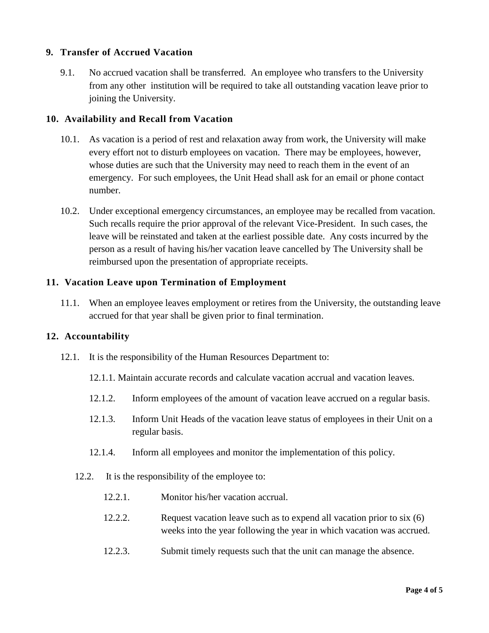## **9. Transfer of Accrued Vacation**

9.1. No accrued vacation shall be transferred. An employee who transfers to the University from any other institution will be required to take all outstanding vacation leave prior to joining the University.

### **10. Availability and Recall from Vacation**

- 10.1. As vacation is a period of rest and relaxation away from work, the University will make every effort not to disturb employees on vacation. There may be employees, however, whose duties are such that the University may need to reach them in the event of an emergency. For such employees, the Unit Head shall ask for an email or phone contact number.
- 10.2. Under exceptional emergency circumstances, an employee may be recalled from vacation. Such recalls require the prior approval of the relevant Vice-President. In such cases, the leave will be reinstated and taken at the earliest possible date. Any costs incurred by the person as a result of having his/her vacation leave cancelled by The University shall be reimbursed upon the presentation of appropriate receipts.

### **11. Vacation Leave upon Termination of Employment**

11.1. When an employee leaves employment or retires from the University, the outstanding leave accrued for that year shall be given prior to final termination.

### **12. Accountability**

- 12.1. It is the responsibility of the Human Resources Department to:
	- 12.1.1. Maintain accurate records and calculate vacation accrual and vacation leaves.
	- 12.1.2. Inform employees of the amount of vacation leave accrued on a regular basis.
	- 12.1.3. Inform Unit Heads of the vacation leave status of employees in their Unit on a regular basis.
	- 12.1.4. Inform all employees and monitor the implementation of this policy.
	- 12.2. It is the responsibility of the employee to:
		- 12.2.1. Monitor his/her vacation accrual.
		- 12.2.2. Request vacation leave such as to expend all vacation prior to six (6) weeks into the year following the year in which vacation was accrued.
		- 12.2.3. Submit timely requests such that the unit can manage the absence.